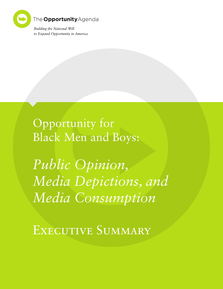

Opportunity for Black Men and Boys:

*Public Opinion, Media Depictions, and Media Consumption*

EXECUTIVE SUMMARY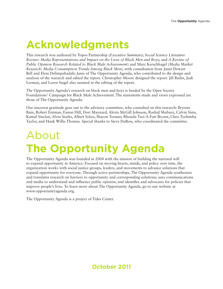## **Acknowledgments**

This research was authored by Topos Partnership (*Executive Summary*; *Social Science Literature Review: Media Representations and Impact on the Lives of Black Men and Boys*; and *A Review of Public Opinion Research Related to Black Male Achievement*) and Marc Kerschhagel (*Media Market Research: Media Consumption Trends Among Black Men*), with consultation from Janet Dewart Bell and Eleni Delimpaltadaki Janis of The Opportunity Agenda, who contributed to the design and analysis of the research and edited the report. Christopher Moore designed the report. Jill Bailin, Judi Lerman, and Loren Siegel also assisted in the editing of the report.

The Opportunity Agenda's research on black men and boys is funded by the Open Society Foundations' Campaign for Black Male Achievement. The statements made and views expressed are those of The Opportunity Agenda.

Our sincerest gratitude goes out to the advisory committee, who consulted on this research: Bryonn Bain, Robert Entman, Fanon Hill, Dori Maynard, Alexis McGill Johnson, Rashid Shabazz, Calvin Sims, Kamal Sinclair, Alvin Starks, Albert Sykes, Sharon Toomer, Rhonda Tsoi-A-Fatt Bryant, Cheo Tyehimba Taylor, and Hank Willis Thomas. Special thanks to Steve DuBois, who coordinated the committee.

## About **The Opportunity Agenda**

The Opportunity Agenda was founded in 2004 with the mission of building the national will to expand opportunity in America. Focused on moving hearts, minds, and policy over time, the organization works with social justice groups, leaders, and movements to advance solutions that expand opportunity for everyone. Through active partnerships, The Opportunity Agenda synthesizes and translates research on barriers to opportunity and corresponding solutions; uses communications and media to understand and influence public opinion; and identifies and advocates for policies that improve people's lives. To learn more about The Opportunity Agenda, go to our website at www.opportunityagenda.org.

The Opportunity Agenda is a project of Tides Center.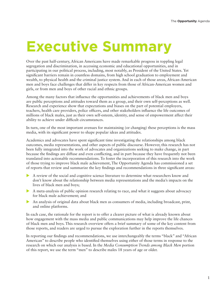# **Executive Summary**

Over the past half-century, African Americans have made remarkable progress in toppling legal segregation and discrimination, in accessing economic and educational opportunities, and in participating in our political process, including, most notably, as President of the United States. Yet significant barriers remain in countless domains, from high school graduation to employment and wealth, to physical health and the criminal justice system. And in each of those areas, African-American men and boys face challenges that differ in key respects from those of African-American women and girls, or from men and boys of other racial and ethnic groups.

Among the many factors that influence the opportunities and achievements of black men and boys are public perceptions and attitudes toward them as a group, and their own self-perceptions as well. Research and experience show that expectations and biases on the part of potential employers, teachers, health care providers, police officers, and other stakeholders influence the life outcomes of millions of black males, just as their own self-esteem, identity, and sense of empowerment affect their ability to achieve under difficult circumstances.

In turn, one of the most important avenues for maintaining (or changing) these perceptions is the mass media, with its significant power to shape popular ideas and attitudes.

Academics and advocates have spent significant time investigating the relationships among black outcomes, media representations, and other aspects of public discourse. However, this research has not been fully integrated into the work of advocates and organizations seeking to make change, in part because the findings are diffuse and even conflicting, and in part because they have frequently not been translated into actionable recommendations. To foster the incorporation of this research into the work of those trying to improve black male achievement, The Opportunity Agenda has commissioned a set of reports that review and summarize the key findings and recommendations in three significant areas:

- X A review of the social and cognitive science literature to determine what researchers know and don't know about the relationship between media representations and the media's impacts on the lives of black men and boys;
- $\blacktriangleright$  A meta-analysis of public opinion research relating to race, and what it suggests about advocacy for black male achievement; and
- ightharpoonup An analysis of original data about black men as consumers of media, including broadcast, print, and online platforms.

In each case, the rationale for the report is to offer a clearer picture of what is already known about how engagement with the mass media and public communications may help improve the life chances of black men and boys. This research overview offers a brief summary of some of the key content from those reports, and readers are urged to pursue the exploration further in the reports themselves.

In reporting our findings and recommendations, we use interchangeably the terms "black" and "African American" to describe people who identified themselves using either of those terms in response to the research on which our analysis is based. In the *Media Consumption Trends among Black Men* portion of this report, we use the term "men" to describe males 18 years of age or older.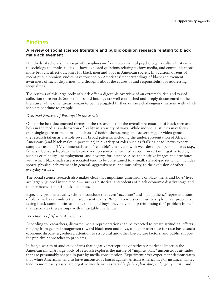### **Findings**

#### **A review of social science literature and public opinion research relating to black male achievement**

Hundreds of scholars in a range of disciplines — from experimental psychology to cultural criticism to sociology to ethnic studies — have explored questions relating to how media, and communications more broadly, affect outcomes for black men and boys in American society. In addition, dozens of recent public opinion studies have touched on Americans' understandings of black achievement, awareness of racial disparities, and thoughts about the causes of and responsibility for addressing inequalities.

The reviews of this large body of work offer a digestible overview of an extremely rich and varied collection of research. Some themes and findings are well established and deeply documented in the literature, while other areas remain to be investigated further, or raise challenging questions with which scholars continue to grapple.

#### *Distorted Patterns of Portrayal in the Media*

One of the best-documented themes in the research is that the overall presentation of black men and boys in the media is a distortion of reality in a variety of ways. While individual studies may focus on a single genre or medium — such as TV fiction shows, magazine advertising, or video games the research taken as a whole reveals broad patterns, including the underrepresentation of African Americans (and black males in particular) in a variety of roles such as "talking head" news experts, computer users in TV commercials, and "relatable" characters with well-developed personal lives (*e.g.*, fathers). Conversely, black males are overrepresented when media touch on certain negative topics, such as criminality, unemployment, and poverty, for instance. Also, the positive images and attributes with which black males are associated tend to be constrained to a small, stereotypic set which includes sports, physical achievement in general, aggressiveness, and musicality, to the exclusion of other everyday virtues.

The social science research also makes clear that important dimensions of black men's and boys' lives are largely *ignored* in the media — such as historical antecedents of black economic disadvantage and the persistence of anti-black male bias.

Especially problematically, scholars conclude that even "accurate" and "sympathetic" representations of black males can indirectly misrepresent reality: When reporters continue to explore real problems facing black communities and black men and boys, they may end up reinforcing the "problem frame" that associates these groups with intractable challenges.

#### *Perceptions of African Americans*

According to researchers, distorted media representations can be expected to create attitudinal effects ranging from general antagonism toward black men and boys, to higher tolerance for race-based socioeconomic disparities, reduced attention to structural and other big-picture factors, and public support for punitive approaches to problems.

In fact, a wealth of studies confirms that negative perceptions of African Americans linger in the American mind. A large body of research explores the nature of "implicit bias," unconscious attitudes that are presumably shaped in part by media consumption. Experiment after experiment demonstrates that white Americans tend to have unconscious biases against African Americans. For instance, whites tend to more easily associate negative words such as *terrible*, *failure*, *horrible*, *evil*, *agony*, *nasty*, and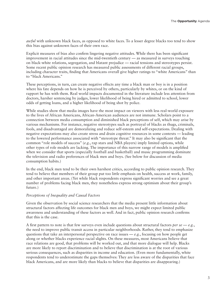*awful* with unknown black faces, as opposed to white faces. To a lesser degree blacks too tend to show this bias against unknown faces of their own race.

Explicit measures of bias also confirm lingering negative attitudes. While there has been significant improvement in racial attitudes since the mid-twentieth century — as measured in surveys touching on black-white relations, segregation, and blatant prejudice — racial tensions and stereotypes persist. Some recent public opinion research has measured public assessments of different racial groups, including character traits, finding that Americans overall give higher ratings to "white Americans" than to "black Americans."

These perceptions, in turn, can create negative effects any time a black man or boy is in a position where his fate depends on how he is perceived by others, particularly by whites, or on the kind of rapport he has with them. Real world impacts documented in the literature include less attention from doctors, harsher sentencing by judges, lower likelihood of being hired or admitted to school, lower odds of getting loans, and a higher likelihood of being shot by police.

While studies show that media images have the most impact on viewers with less real-world exposure to the lives of African Americans, African-American audiences are not immune. Scholars point to a connection between media consumption and diminished black perceptions of self, which may arise by various mechanisms. For instance, negative stereotypes such as portrayal of blacks as thugs, criminals, fools, and disadvantaged are demoralizing and reduce self-esteem and self-expectations. Dealing with negative expectations may also create stress and drain cognitive resources in some contexts — leading to the lowered performance associated with "stereotype threat." It may also be significant that the common "role models of success" (*e.g.*, rap stars and NBA players) imply limited options, while other types of role models are lacking. The importance of this narrow range of models is amplified when we consider that sports (especially football and basketball) and music programming dominate the television and radio preferences of black men and boys. (See below for discussion of media consumption habits.)

In the end, black men tend to be their own harshest critics, according to public opinion research. They tend to believe that members of their group put too little emphasis on health, success at work, family, and other important areas. (Yet while black respondents express significant worries and see a great number of problems facing black men, they nonetheless express strong optimism about their group's future.)

#### *Perceptions of Inequality and Causal Factors*

Given the observation by social science researchers that the media present little information about structural factors affecting life outcomes for black men and boys, we might expect limited public awareness and understanding of these factors as well. And in fact, public opinion research confirms that this is the case.

A first pattern to note is that few surveys even include questions about structural factors  $per$   $se - e.g.,$ the need to improve public transit access in particular neighborhoods. Rather, they tend to emphasize questions that take an interpersonal perspective on race issues  $-e.g.,$  focusing on how people get along or whether blacks experience racial slights. On these measures, most Americans believe that race relations are good, that problems will be worked out, and that more dialogue will help. Blacks are more likely to report discrimination and to believe that discrimination is at the root of various serious consequences, such as disparities in income and education. (Even more fundamentally, white respondents tend to underestimate the gaps themselves: They are less aware of the disparities that face black Americans, and are more likely than blacks to believe that disparities are disappearing.)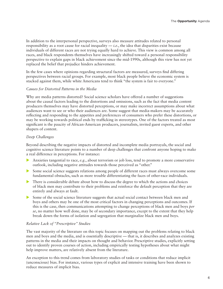In addition to the interpersonal perspective, surveys also measure attitudes related to personal responsibility as a root cause for racial inequality  $-i.e.,$  the idea that disparities exist because individuals of different races are not trying equally hard to achieve. This view is common among all races, and black respondents themselves have increasingly shifted toward a personal responsibility perspective to explain gaps in black achievement since the mid-1990s, although this view has not yet replaced the belief that prejudice hinders achievement.

In the few cases where opinions regarding structural factors are measured, surveys find differing perspectives between racial groups. For example, most black people believe the economic system is stacked against them, while white Americans tend to think "the system is fair to everyone."

#### *Causes for Distorted Patterns in the Media*

Why are media patterns distorted? Social science scholars have offered a number of suggestions about the causal factors leading to the distortions and omissions, such as the fact that media content producers themselves may have distorted perceptions, or may make incorrect assumptions about what audiences want to see or who their audiences are. Some suggest that media-makers may be accurately reflecting and responding to the appetites and preferences of consumers who prefer these distortions, or may be working towards political ends by trafficking in stereotypes. One of the factors treated as most significant is the paucity of African-American producers, journalists, invited guest experts, and other shapers of content.

#### *Deep Challenges*

Beyond describing the negative impacts of distorted and incomplete media portrayals, the social and cognitive science literature points to a number of deep challenges that confront anyone hoping to make a real difference in perceptions. For instance:

- Anxieties tangential to race, *e.g.*, about terrorism or job loss, tend to promote a more conservative outlook, including negative attitudes towards those perceived as "other."
- $\triangleright$  Some social science suggests relations among people of different races must always overcome some fundamental obstacles, such as more trouble differentiating the faces of other-race individuals.
- $\triangleright$  There is considerable debate about how to discuss the degree to which the actions and choices of black men may contribute to their problems and reinforce the default perception that they are entirely and always at fault.
- $\triangleright$  Some of the social science literature suggests that actual social contact between black men and boys and others may be one of the most critical factors in changing perceptions and outcomes. If this is the case, then communications attempting to change perceptions of black men and boys *per se*, no matter how well done, may be of secondary importance, except to the extent that they help break down the forms of isolation and segregation that marginalize black men and boys.

#### *Relative Lack of "Prescriptive" Studies*

The vast majority of the literature on this topic focuses on mapping out the problems relating to black men and boys and the media, and is essentially descriptive — that is, it describes and analyzes existing patterns in the media and their impacts on thought and behavior. Prescriptive studies, explicitly setting out to identify proven courses of action, including empirically testing hypotheses about what might help improve matters, are relatively absent from the literature.

An exception to this trend comes from laboratory studies of tasks or conditions that reduce implicit (unconscious) bias. For instance, various types of explicit and intensive training have been shown to reduce measures of implicit bias.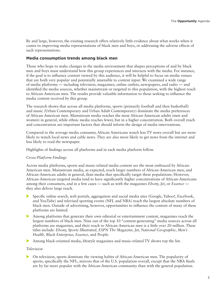By and large, however, the existing research offers relatively little evidence about what works when it comes to improving media representations of black men and boys, or addressing the adverse effects of such representations.

#### **Media consumption trends among black men**

Those who hope to make changes in the media environment that shapes perceptions of and by black men and boys must understand how this group experiences and interacts with the media. For instance, if the goal is to influence content viewed by this audience, it will be helpful to focus on media venues that are both very popular and potentially amenable to content input. We examined a wide range of media platforms — including television, magazines, online outlets, newspapers, and radio — and identified the media sources, whether mainstream or targeted to this population, with the highest reach to African-American men. The results provide valuable information to those seeking to influence the media content received by this group.

The research shows that across all media platforms, sports (primarily football and then basketball) and music (Urban Contemporary and Urban Adult Contemporary) dominate the media preferences of African-American men. Mainstream media reaches the most African-American adults (men and women) in general, while ethnic media reaches fewer, but in a higher concentration. Both overall reach and concentration are important factors that should inform the design of media interventions.

Compared to the average media consumer, African Americans watch less TV news overall but are more likely to watch local news and cable news. They are also more likely to get news from the internet and less likely to read the newspaper.

Highlights of findings across all platforms and in each media platform follow.

#### *Cross-Platform Findings*

Across media platforms, sports and music-related media content are the most embraced by African-American men. Mainstream media, as expected, reach larger numbers of African-American men, and African-American adults in general, than media that specifically target these populations. However, African-American targeted media tend to have significantly higher concentrations of African-Americans among their consumers, and in a few cases — such as with the magazines *Ebony, Jet*, or *Essence*  they also deliver large reach.

- Specific online search, web portals, aggregation and social media sites (Google, Yahoo!, Facebook, and YouTube) and televised sporting events (NFL and NBA) reach the largest absolute numbers of black men. Outside of advertising, however, opportunities to influence the content of many of these platforms are limited.
- X Among platforms that generate their own editorial or entertainment content, magazines reach the largest numbers of black men. Nine out of the top 10 "content-generating" media sources across all platforms are magazines, and their reach to African-American men is a little over 20 million. These titles include: *Ebony, Sports Illustrated, ESPN The Magazine, Jet, National Geographic, Men's Health, Black Enterprise, Essence,* and *People.*

X Among black-oriented media, lifestyle magazines and music-related TV shows top the list.

#### *Television*

X On television, sports dominate the viewing habits of African-American men. The popularity of sports, specifically the NFL, mirrors that of the U.S. population overall, except that the NBA finals are by far more popular with the African-American community than with the general population.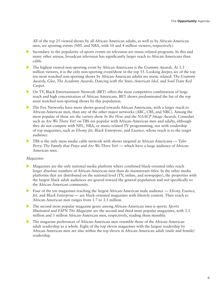All of the top 25 viewed shows by all African-American adults, as well as by African-American men, are sporting events (NFL and NBA, with 10 and 4 million viewers, respectively).

- $\triangleright$  Secondary to the popularity of sports events on television are music-related programs. In this and many other arenas, broadcast television has significantly larger reach to African Americans than cable.
- The highest viewed non-sporting event by African Americans is the *Grammy Awards*. At 3.3 million viewers, it is the only non-sporting event/show in the top 55. Looking deeper, six of the top ten most watched non-sporting shows by African-American adults are music related: *The Grammy Awards*, *Glee*, *The Academy Awards, Dancing with the Stars, American Idol,* and *Soul Train Red Carpet*.
- $\triangleright$  On TV, Black Entertainment Network (BET) offers the most competitive combination of large reach and high concentration of African Americans. BET shows predominated the list of the top most watched non-sporting shows by this population.
- The Fox Networks have more shows geared towards African Americans, with a larger reach to African-American men, than any of the other major networks (ABC, CBS, and NBC). Among the most popular of these are the variety show *In the Flow* and the *NAACP Image Awards*. Comedies such as *Are We There Yet?* on TBS are popular with African-American men and adults, although they do not compete with NFL, NBA, or music-related TV programming, nor with readership of top magazines, such as *Ebony, Jet, Black Enterprise,* and *Essence,* whose reach is to the target audience.
- X TBS is the only mass media cable network with shows targeted at African Americans *Tyler Perry: The Family that Prays* and *Are We There Yet?* — which have a large audience of African-American men.

#### *Magazines*

- X Magazines are the only national media platform where combined black-oriented titles reach larger absolute numbers of African-American men than do mainstream titles. In the other media platforms that are distributed on the national level (TV, online, and newspaper), the properties with the largest black adult audiences are geared toward the general population and not specifically to the African-American community.
- ▶ Four of the ten magazines reaching the largest African-American male audience *Ebony*, *Essence*, *Jet,* and *Black Enterprise* — are black-oriented magazines with lifestyle content. Their reach to African-American men ranges from 1.7 to 3.5 million.
- X The second most popular magazine genre among African-American men is sports*. Sports Illustrated* and *ESPN The Magazine* are the second and third most popular magazines, with 3.1 million and 3 million African-American men, respectively, reading them monthly.
- $\blacktriangleright$  The magazine preferences of African-American men resemble those of the African-American adult readership as a whole. Eight of the top eleven magazines with the largest readership by African-American men are also within the top eleven in African-American adult (male and female) readership.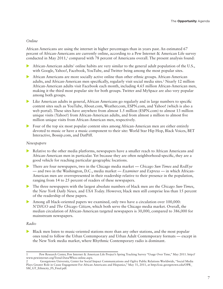#### *Online*

African Americans are using the internet in higher percentages than in years past. An estimated 67 percent of African-Americans are currently online, according to a Pew Internet & American Life survey conducted in May 2011,<sup>1</sup> compared with 78 percent of Americans overall. The present analysis found:

- African-American adults' online habits are very similar to the general adult population of the U.S., with Google, Yahoo!, Facebook, YouTube, and Twitter being among the most popular sites.
- $\blacktriangleright$  African Americans are more socially active online than other ethnic groups. African-American adults, and African-American men specifically, regularly visit social media sites.<sup>2</sup> Nearly 12 million African-American adults visit Facebook each month, including 4.65 million African-American men, making it the third most popular site for both groups. Twitter and MySpace are also very popular among both groups.
- $\triangleright$  Like American adults in general, African Americans go regularly and in large numbers to specific content sites such as YouTube, About.com, Weather.com, ESPN.com, and Yahoo! (which is also a web portal). These sites have anywhere from almost 1.5 million (ESPN.com) to almost 13 million unique visits (Yahoo!) from African-American adults, and from almost a million to almost five million unique visits from African-American men, respectively.
- $\triangleright$  Four of the top six most popular content sites among African-American men are either entirely devoted to music or have a music component to their site: World Star Hip Hop, Black Voices, BET Interactive, Bossip.com, and DatPiff.

#### *Newspapers*

- X Relative to the other media platforms, newspapers have a smaller reach to African Americans and African-American men in particular. Yet because they are often neighborhood-specific, they are a good vehicle for reaching particular geographic locations.
- ▶ There are four newspapers, two in the Chicago media market *Chicago Sun Times* and *RedEye* — and two in the Washington, D.C., media market — *Examiner* and *Express* — in which African-American men are overrepresented in their readership relative to their presence in the population, ranging from 14 to 25 percent of readers of these newspapers.
- X The three newspapers with the largest absolute numbers of black men are the *Chicago Sun-Times*, the *New York Daily News,* and *USA Today*. However, black men still comprise less than 15 percent of the readership of these papers.
- $\blacktriangleright$  Among all black-oriented papers we examined, only two have a circulation over 100,000: *N'DIGO* and *The Chicago Citizen*, which both serve the Chicago media market. Overall, the median circulation of African-American targeted newspapers is 30,000, compared to 386,000 for mainstream newspapers.

#### *Radio*

 $\triangleright$  Black men listen to music-oriented stations more than any other stations, and the most popular ones tend to follow the Urban Contemporary and Urban Adult Contemporary formats — except in the New York media market, where Rhythmic Contemporary radio is dominant.

<sup>1</sup> Pew Research Center, Pew Internet & American Life Project's Spring Tracking Survey "Usage Over Time," May 2011. http:// www.pewinternet.org/Trend-Data/Whos-online.aspx.

<sup>2</sup> Georgetown University, Center for Social Impact Communications and Ogilvy Public Relations Worldwide, "Social Media Plays Greater Role in Cause Engagement For African Americans and Hispanics," May 31, 2011, at http://csic.georgetown.edu/OPR\_ SM\_GT\_Ethnicity\_FS\_Final.pdf.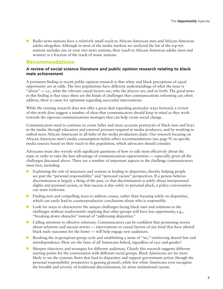ightharpoonup Radio news stations have a relatively small reach to African-American men and African-American adults altogether. Although in most of the media markets we analyzed the list of the top ten stations includes one or even two news stations, their reach to African-American adults (men and women) is a fraction of the reach of music stations.

#### **Recommendations**

#### **A review of social science literature and public opinion research relating to black male achievement**

A persistent finding in recent public opinion research is that white and black perceptions of equal opportunity are at odds. The two populations have different understandings of what the issue is "about"  $-i.e.,$  what the relevant causal factors are, who the players are, and so forth. The good news in this finding is that since these are the kinds of challenges that communications reframing can often address, there is cause for optimism regarding successful interventions.

While the existing research does not offer a great deal regarding particular ways forward, a review of this work does suggest a number of ideas that communicators should keep in mind as they work towards the rigorous communications strategies that can help create social change.

Communicators need to continue to create fuller and more accurate portrayals of black men and boys in the media through education and external pressure targeted at media producers, and by working to embed more African Americans in all links of the media production chain. Our research focusing on African-American men's media consumption habits offers recommendations (see page 9) on specific media sources based on their reach to this population, which advocates should consider.

Advocates must also wrestle with significant questions of how to talk most effectively about the topic in order to take the best advantage of communications opportunities — especially given all the challenges discussed above. There are a number of important aspects to the challenge communicators must face, including:

- $\blacktriangleright$  Explaining the role of structures and systems in leading to disparities, thereby helping people see past the "personal responsibility" and "personal racism" perspectives. If a person believes discrimination is largely a thing of the past, or that discrimination is solely about interpersonal slights and personal racism, or that success is due solely to personal pluck, a policy conversation can seem irrelevant.
- $\blacktriangleright$  Finding new and compelling ways to address causes, rather than focusing solely on disparities, which can easily lead to counterproductive conclusions about who is responsible.
- $\triangleright$  Look for ways to characterize the unique challenges facing black men and solutions to the challenges without inadvertently implying that other groups will have less opportunity, e.g., "breaking down obstacles" instead of "addressing disparities."
- **In A Calling attention to effective solutions. Communicators can be confident that promoting stories** about solutions and success stories — interventions or causal factors of any kind that have altered black male outcomes for the better — will help engage new audiences.
- Exercise in-group/out-group cycle and establishing a sense of "we," reinforcing shared fate and interdependence. How are the fates of *all* Americans linked, regardless of race and gender?
- In Sharpen objectives and strategies for different audiences. Clearly this research suggests different starting points for the conversation with different racial groups. Black Americans are far more likely to see the systemic flaws that lead to disparities and support government action (though the personal responsibility perspective is gaining ground), while few white Americans even recognize the breadth and severity of traditional discrimination, let alone institutional racism.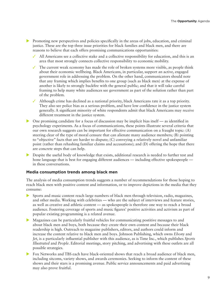- $\triangleright$  Promoting new perspectives and policies specifically in the areas of jobs, education, and criminal justice. These are the top three issue priorities for black families and black men, and there are reasons to believe that each offers promising communications opportunities:
	- $\checkmark$  All Americans see a collective stake and a collective responsibility for education, and this is an area that most strongly connects collective responsibility to economic mobility.
	- $\checkmark$  The current weak economy has made the role of broken systems more visible, as people think about their economic wellbeing. Black Americans, in particular, support an active, engaged government role in addressing the problem. On the other hand, communicators should note that any framing which implies benefits to one group (such as black men) at the expense of another is likely to strongly backfire with the general public; and that it will take careful framing to help many white audiences see government as part of the solution rather than part of the problem.
	- $\checkmark$  Although crime has declined as a national priority, black Americans rate it as a top priority. They also see police bias as a serious problem, and have low confidence in the justice system generally. A significant minority of white respondents admit that black Americans may receive different treatment in the justice system.
- $\triangleright$  One promising candidate for a focus of discussion may be implicit bias itself as identified in psychology experiments. As a focus of communications, these points illustrate several criteria that our own research suggests can be important for effective communication on a fraught topic: (A) steering clear of the type of moral censure that can alienate many audience members; (B) pointing to "objective" facts that are harder to dispute; (C) conveying a relatively novel and unfamiliar point (rather than rehashing familiar claims and accusations); and (D) offering the hope that there are concrete steps that can help.
- **EXECUTE:** Despite the useful body of knowledge that exists, additional research is needed to further test and hone language that is best for engaging different audiences — including effective spokespeople in these conversations.

#### **Media consumption trends among black men**

The analysis of media consumption trends suggests a number of recommendations for those hoping to reach black men with positive content and information, or to improve depictions in the media that they consume:

- Sports and music content reach large numbers of black men through television, radio, magazines, and other media. Working with celebrities — who are the subject of interviews and feature stories, as well as creative and athletic content — as spokespeople is therefore one way to reach a broad audience. Fostering coverage of sports and music figures' positive activities and activism as part of popular existing programming is a related avenue.
- $\blacktriangleright$  Magazines can be particularly fruitful vehicles for communicating postitive messages to and about black men and boys, both because they create their own content and because their black readership is high. Outreach to magazine publishers, editors, and authors could inform and increase the content relative to black men and boys. Johnson Publishing, which owns *Ebony* and *Jet*, is a particularly influential publisher with this audience, as is Time Inc., which publishes *Sports Illustrated* and *People*. Editorial meetings, story pitching, and advertising with these outlets are all possible strategies.
- $\triangleright$  Fox Networks and TBS each have black-oriented shows that reach a broad audience of black men, including sitcoms, variety shows, and awards ceremonies. Seeking to inform the content of these shows and their stars is a promising avenue. Public service announcements and paid advertising may also prove fruitful.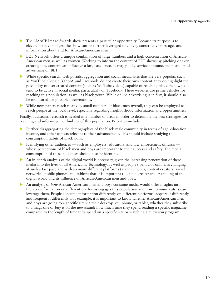- $\blacktriangleright$  The NAACP Image Awards show presents a particular opportunity. Because its purpose is to elevate positive images, the show can be further leveraged to convey constructive messages and information about and for African-American men.
- EX BET Network offers a unique combination of large numbers and a high concentration of African-American men as well as women. Working to inform the content of BET shows by pitching or even creating new content can influence a large audience, as may public service announcements and paid advertising on BET.
- $\blacktriangleright$  While specific search, web portals, aggregation and social media sites that are very popular, such as YouTube, Google, Yahoo!, and Facebook, do not create their own content, they do highlight the possibility of user-created content (such as YouTube videos) capable of reaching black men, who tend to be active in social media, particularly on Facebook. These websites are prime vehicles for reaching this population, as well as black youth. While online advertising is in flux, it should also be monitored for possible interventions.
- $\triangleright$  While newspapers reach relatively small numbers of black men overall, they can be employed to reach people at the local level, especially regarding neighborhood information and opportunities.

Finally, additional research is needed in a number of areas in order to determine the best strategies for reaching and informing the thinking of this population. Priorities include:

- $\blacktriangleright$  Further disaggregating the demographics of the black male community in terms of age, education, income, and other aspects relevant to their advancement. This should include studying the consumption habits of black boys.
- Identifying other audiences such as employers, educators, and law enforcement officials whose perceptions of black men and boys are important to their success and safety. The media consumption of these audiences should also be identified.
- An in-depth analysis of the digital world is necessary, given the increasing penetration of these media into the lives of all Americans. Technology, as well as people's behavior online, is changing at such a fast pace and with so many different platforms (search engines, content creators, social networks, mobile phones, and tablets) that it is important to gain a greater understanding of the digital world and its influence on African-American men and boys.
- in An analysis of *how* African-American men and boys consume media would offer insights into the way information on different platforms engages this population and how communicators can leverage them. People consume information differently on different platforms, acquire it differently, and frequent it differently. For example, it is important to know whether African-American men and boys are going to a specific site via their desktop, cell phone, or tablet; whether they subscribe to a magazine or buy it on the newsstand; how much time they spend reading a specific magazine compared to the length of time they spend on a specific site or watching a television program.